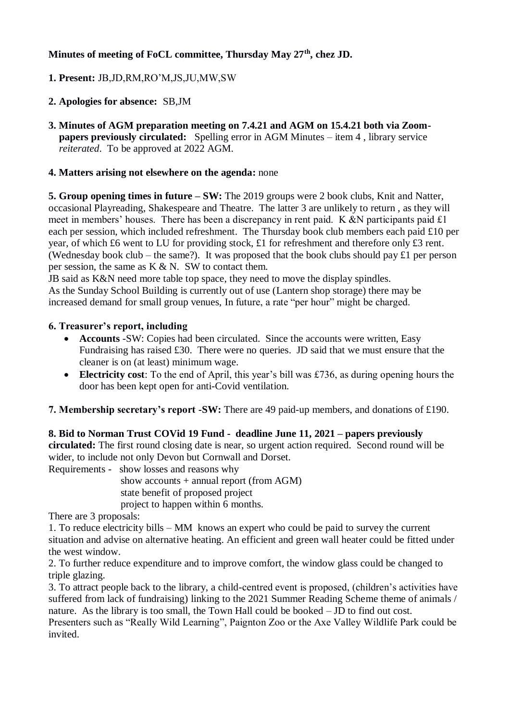# **Minutes of meeting of FoCL committee, Thursday May 27th, chez JD.**

## **1. Present:** JB,JD,RM,RO'M,JS,JU,MW,SW

### **2. Apologies for absence:** SB,JM

**3. Minutes of AGM preparation meeting on 7.4.21 and AGM on 15.4.21 both via Zoom papers previously circulated:** Spelling error in AGM Minutes – item 4, library service *reiterated*. To be approved at 2022 AGM.

### **4. Matters arising not elsewhere on the agenda:** none

**5. Group opening times in future – SW:** The 2019 groups were 2 book clubs, Knit and Natter, occasional Playreading, Shakespeare and Theatre. The latter 3 are unlikely to return , as they will meet in members' houses. There has been a discrepancy in rent paid. K &N participants paid  $\pounds1$ each per session, which included refreshment. The Thursday book club members each paid £10 per year, of which £6 went to LU for providing stock, £1 for refreshment and therefore only £3 rent. (Wednesday book club – the same?). It was proposed that the book clubs should pay £1 per person per session, the same as  $K \& N$ . SW to contact them.

JB said as K&N need more table top space, they need to move the display spindles. As the Sunday School Building is currently out of use (Lantern shop storage) there may be increased demand for small group venues, In future, a rate "per hour" might be charged.

#### **6. Treasurer's report, including**

- **Accounts** -SW: Copies had been circulated. Since the accounts were written, Easy Fundraising has raised £30. There were no queries. JD said that we must ensure that the cleaner is on (at least) minimum wage.
- **Electricity cost**: To the end of April, this year's bill was £736, as during opening hours the door has been kept open for anti-Covid ventilation.

**7. Membership secretary's report -SW:** There are 49 paid-up members, and donations of £190.

**8. Bid to Norman Trust COVid 19 Fund - deadline June 11, 2021 – papers previously circulated:** The first round closing date is near, so urgent action required. Second round will be wider, to include not only Devon but Cornwall and Dorset.

Requirements - show losses and reasons why

show accounts  $+$  annual report (from AGM) state benefit of proposed project project to happen within 6 months.

There are 3 proposals:

1. To reduce electricity bills – MM knows an expert who could be paid to survey the current situation and advise on alternative heating. An efficient and green wall heater could be fitted under the west window.

2. To further reduce expenditure and to improve comfort, the window glass could be changed to triple glazing.

3. To attract people back to the library, a child-centred event is proposed, (children's activities have suffered from lack of fundraising) linking to the 2021 Summer Reading Scheme theme of animals / nature. As the library is too small, the Town Hall could be booked – JD to find out cost.

Presenters such as "Really Wild Learning", Paignton Zoo or the Axe Valley Wildlife Park could be invited.